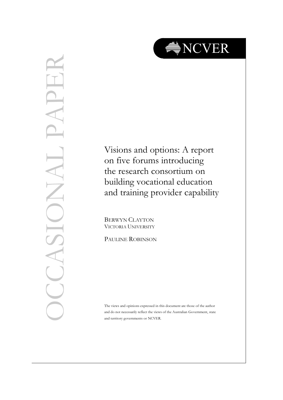

# OCCASIONAL PAPER  $\frac{1}{\sqrt{1-\frac{1}{2}}}$ LASI

Visions and options: A report on five forums introducing the research consortium on building vocational education and training provider capability

BERWYN CLAYTON VICTORIA UNIVERSITY

PAULINE ROBINSON

The views and opinions expressed in this document are those of the author and do not necessarily reflect the views of the Australian Government, state and territory governments or NCVER.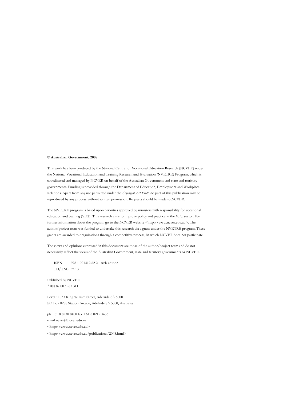#### **© Australian Government, 2008**

This work has been produced by the National Centre for Vocational Education Research (NCVER) under the National Vocational Education and Training Research and Evaluation (NVETRE) Program, which is coordinated and managed by NCVER on behalf of the Australian Government and state and territory governments. Funding is provided through the Department of Education, Employment and Workplace Relations. Apart from any use permitted under the *Copyright Act 1968*, no part of this publication may be reproduced by any process without written permission. Requests should be made to NCVER.

The NVETRE program is based upon priorities approved by ministers with responsibility for vocational education and training (VET). This research aims to improve policy and practice in the VET sector. For further information about the program go to the NCVER website <http://www.ncver.edu.au>. The author/project team was funded to undertake this research via a grant under the NVETRE program. These grants are awarded to organisations through a competitive process, in which NCVER does not participate.

The views and opinions expressed in this document are those of the author/project team and do not necessarily reflect the views of the Australian Government, state and territory governments or NCVER.

ISBN 978 1 921412 62 2 web edition TD/TNC 93.13

Published by NCVER ABN 87 007 967 311

Level 11, 33 King William Street, Adelaide SA 5000 PO Box 8288 Station Arcade, Adelaide SA 5000, Australia

ph +61 8 8230 8400 fax +61 8 8212 3436 email ncver@ncver.edu.au <http://www.ncver.edu.au> <http://www.ncver.edu.au/publications/2048.html>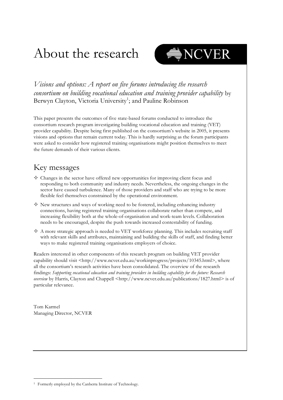# About the research



*Visions and options: A report on five forums introducing the research consortium on building vocational education and training provider capability* by Berwyn Clayton, Victoria University<sup>1</sup>; and Pauline Robinson

This paper presents the outcomes of five state-based forums conducted to introduce the consortium research program investigating building vocational education and training (VET) provider capability. Despite being first published on the consortium's website in 2005, it presents visions and options that remain current today. This is hardly surprising as the forum participants were asked to consider how registered training organisations might position themselves to meet the future demands of their various clients.

## Key messages

- $\diamond$  Changes in the sector have offered new opportunities for improving client focus and responding to both community and industry needs. Nevertheless, the ongoing changes in the sector have caused turbulence. Many of those providers and staff who are trying to be more flexible feel themselves constrained by the operational environment.
- $\diamond$  New structures and ways of working need to be fostered, including enhancing industry connections, having registered training organisations collaborate rather than compete, and increasing flexibility both at the whole-of-organisation and work-team levels. Collaboration needs to be encouraged, despite the push towards increased contestability of funding.
- $\Diamond$  A more strategic approach is needed to VET workforce planning. This includes recruiting staff with relevant skills and attributes, maintaining and building the skills of staff, and finding better ways to make registered training organisations employers of choice.

Readers interested in other components of this research program on building VET provider capability should visit <http://www.ncver.edu.au/workinprogress/projects/10345.html>, where all the consortium's research activities have been consolidated. The overview of the research findings: *Supporting vocational education and training providers in building capability for the future: Research overview* by Harris, Clayton and Chappell <http://www.ncver.edu.au/publications/1827.html> is of particular relevance.

Tom Karmel Managing Director, NCVER

<sup>&</sup>lt;sup>1</sup> Formerly employed by the Canberra Institute of Technology.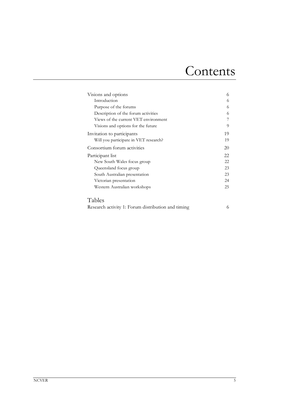# Contents

| Visions and options                   | 6  |
|---------------------------------------|----|
| Introduction                          | 6  |
| Purpose of the forums                 | 6  |
| Description of the forum activities   | 6  |
| Views of the current VET environment  |    |
| Visions and options for the future    | 9  |
| Invitation to participants            | 19 |
| Will you participate in VET research? | 19 |
| Consortium forum activities           | 20 |
| Participant list                      | 22 |
| New South Wales focus group           | 22 |
| Queensland focus group                | 23 |
| South Australian presentation         | 23 |
| Victorian presentation                | 24 |
| Western Australian workshops          | 25 |
| Tables                                |    |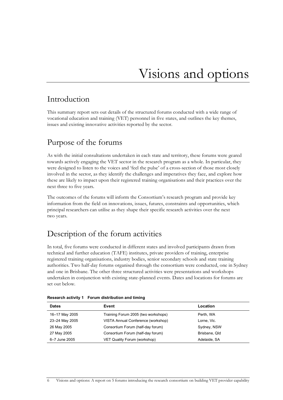# Visions and options

## Introduction

This summary report sets out details of the structured forums conducted with a wide range of vocational education and training (VET) personnel in five states, and outlines the key themes, issues and existing innovative activities reported by the sector.

## Purpose of the forums

As with the initial consultations undertaken in each state and territory, these forums were geared towards actively engaging the VET sector in the research program as a whole. In particular, they were designed to listen to the voices and 'feel the pulse' of a cross-section of those most closely involved in the sector, as they identify the challenges and imperatives they face, and explore how these are likely to impact upon their registered training organisations and their practices over the next three to five years.

The outcomes of the forums will inform the Consortium's research program and provide key information from the field on innovations, issues, futures, constraints and opportunities, which principal researchers can utilise as they shape their specific research activities over the next two years.

# Description of the forum activities

In total, five forums were conducted in different states and involved participants drawn from technical and further education (TAFE) institutes, private providers of training, enterprise registered training organisations, industry bodies, senior secondary schools and state training authorities. Two half-day forums organised through the consortium were conducted, one in Sydney and one in Brisbane. The other three structured activities were presentations and workshops undertaken in conjunction with existing state-planned events. Dates and locations for forums are set out below.

| <b>Dates</b>   | Event                               | Location      |
|----------------|-------------------------------------|---------------|
| 16-17 May 2005 | Training Forum 2005 (two workshops) | Perth, WA     |
| 23-24 May 2005 | VISTA Annual Conference (workshop)  | Lorne, Vic.   |
| 26 May 2005    | Consortium Forum (half-day forum)   | Sydney, NSW   |
| 27 May 2005    | Consortium Forum (half-day forum)   | Brisbane, Qld |
| 6-7 June 2005  | VET Quality Forum (workshop)        | Adelaide, SA  |

#### **Research activity 1 Forum distribution and timing**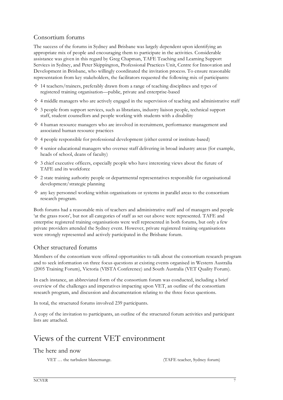#### Consortium forums

The success of the forums in Sydney and Brisbane was largely dependent upon identifying an appropriate mix of people and encouraging them to participate in the activities. Considerable assistance was given in this regard by Greg Chapman, TAFE Teaching and Learning Support Services in Sydney, and Peter Skippington, Professional Practices Unit, Centre for Innovation and Development in Brisbane, who willingly coordinated the invitation process. To ensure reasonable representation from key stakeholders, the facilitators requested the following mix of participants:

- $\diamond$  14 teachers/trainers, preferably drawn from a range of teaching disciplines and types of registered training organisation—public, private and enterprise-based
- $\Diamond$  4 middle managers who are actively engaged in the supervision of teaching and administrative staff
- $\Diamond$  3 people from support services, such as librarians, industry liaison people, technical support staff, student counsellors and people working with students with a disability
- $\Diamond$  4 human resource managers who are involved in recruitment, performance management and associated human resource practices
- $\Diamond$  4 people responsible for professional development (either central or institute-based)
- $\Diamond$  4 senior educational managers who oversee staff delivering in broad industry areas (for example, heads of school, deans of faculty)
- $\Diamond$  3 chief executive officers, especially people who have interesting views about the future of TAFE and its workforce
- $\Diamond$  2 state training authority people or departmental representatives responsible for organisational development/strategic planning
- $\diamond$  any key personnel working within organisations or systems in parallel areas to the consortium research program.

Both forums had a reasonable mix of teachers and administrative staff and of managers and people 'at the grass roots', but not all categories of staff as set out above were represented. TAFE and enterprise registered training organisations were well represented in both forums, but only a few private providers attended the Sydney event. However, private registered training organisations were strongly represented and actively participated in the Brisbane forum.

#### Other structured forums

Members of the consortium were offered opportunities to talk about the consortium research program and to seek information on three focus questions at existing events organised in Western Australia (2005 Training Forum), Victoria (VISTA Conference) and South Australia (VET Quality Forum).

In each instance, an abbreviated form of the consortium forum was conducted, including a brief overview of the challenges and imperatives impacting upon VET, an outline of the consortium research program, and discussion and documentation relating to the three focus questions.

In total, the structured forums involved 239 participants.

A copy of the invitation to participants, an outline of the structured forum activities and participant lists are attached.

# Views of the current VET environment

#### The here and now

VET … the turbulent blancmange. (TAFE teacher, Sydney forum)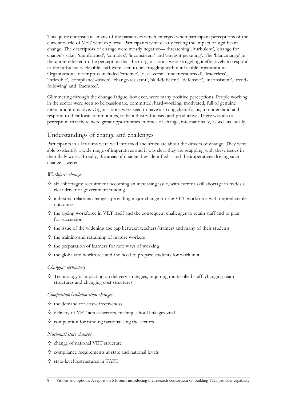This quote encapsulates many of the paradoxes which emerged when participant perceptions of the current world of VET were explored. Participants were clearly feeling the impact of significant change. The descriptors of change were mostly negative—'threatening', 'turbulent', 'change for change's sake', 'uninformed', 'complex', 'inconsistent' and 'straight-jacketing'. The 'blancmange' in the quote referred to the perception that their organisations were struggling ineffectively to respond to the turbulence. Flexible staff were seen to be struggling within inflexible organisations. Organisational descriptors included 'reactive', 'risk-averse', 'under-resourced', 'leaderless', 'inflexible', 'compliance-driven', 'change-resistant', 'skill-deficient', 'defensive', 'inconsistent', 'trendfollowing' and 'fractured'.

Glimmering through the change fatigue, however, were many positive perceptions. People working in the sector were seen to be passionate, committed, hard-working, motivated, full of genuine intent and innovative. Organisations were seen to have a strong client focus, to understand and respond to their local communities, to be industry-focused and productive. There was also a perception that there were great opportunities in times of change, internationally, as well as locally.

#### Understandings of change and challenges

Participants in all forums were well informed and articulate about the drivers of change. They were able to identify a wide range of imperatives and it was clear they are grappling with these issues in their daily work. Broadly, the areas of change they identified—and the imperatives driving such change—were:

#### *Workforce changes*

- $\Diamond$  skill shortages: recruitment becoming an increasing issue, with current skill shortage in trades a clear driver of government funding
- $\diamond$  industrial relations changes: providing major change for the VET workforce with unpredictable outcomes
- $\diamond$  the ageing workforce in VET itself and the consequent challenges to retain staff and to plan for succession
- $\diamondsuit$  the issue of the widening age gap between teachers/trainers and many of their students
- $\diamond$  the training and retraining of mature workers
- $\diamond$  the preparation of learners for new ways of working
- $\diamond$  the globalised workforce and the need to prepare students for work in it.

#### *Changing technology*

 $\diamond$  Technology is impacting on delivery strategies, requiring multiskilled staff, changing team structures and changing cost structures.

#### *Competition/collaboration changes*

- $\diamond$  the demand for cost-effectiveness
- $\diamond$  delivery of VET across sectors, making school linkages vital
- $\diamond$  competition for funding factionalising the sectors.

#### *National/state changes*

- $\diamond$  change of national VET structure
- $\diamond$  compliance requirements at state and national levels
- $\diamond$  state-level restructures in TAFE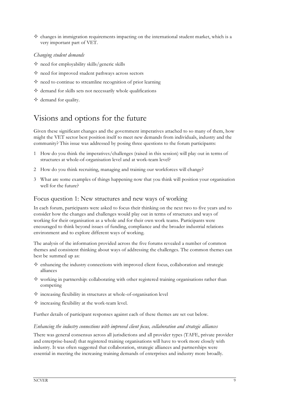$\diamond$  changes in immigration requirements impacting on the international student market, which is a very important part of VET.

#### *Changing student demands*

- $\diamond$  need for employability skills/generic skills
- $\diamond$  need for improved student pathways across sectors
- $\diamond$  need to continue to streamline recognition of prior learning
- $\diamond$  demand for skills sets not necessarily whole qualifications
- $\diamond$  demand for quality.

## Visions and options for the future

Given these significant changes and the government imperatives attached to so many of them, how might the VET sector best position itself to meet new demands from individuals, industry and the community? This issue was addressed by posing three questions to the forum participants:

- 1 How do you think the imperatives/challenges (raised in this session) will play out in terms of structures at whole-of-organisation level and at work-team level?
- 2 How do you think recruiting, managing and training our workforces will change?
- 3 What are some examples of things happening now that you think will position your organisation well for the future?

#### Focus question 1: New structures and new ways of working

In each forum, participants were asked to focus their thinking on the next two to five years and to consider how the changes and challenges would play out in terms of structures and ways of working for their organisation as a whole and for their own work teams. Participants were encouraged to think beyond issues of funding, compliance and the broader industrial relations environment and to explore different ways of working.

The analysis of the information provided across the five forums revealed a number of common themes and consistent thinking about ways of addressing the challenges. The common themes can best be summed up as:

- $\Diamond$  enhancing the industry connections with improved client focus, collaboration and strategic alliances
- $\diamond$  working in partnership: collaborating with other registered training organisations rather than competing
- $\diamond$  increasing flexibility in structures at whole-of-organisation level
- $\diamond$  increasing flexibility at the work-team level.

Further details of participant responses against each of these themes are set out below.

#### *Enhancing the industry connections with improved client focus, collaboration and strategic alliances*

There was general consensus across all jurisdictions and all provider types (TAFE, private provider and enterprise-based) that registered training organisations will have to work more closely with industry. It was often suggested that collaboration, strategic alliances and partnerships were essential in meeting the increasing training demands of enterprises and industry more broadly.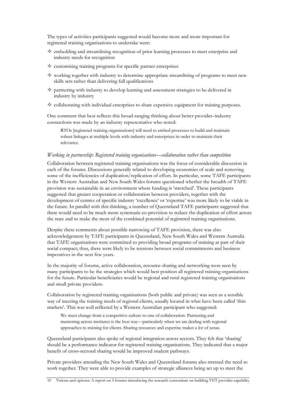The types of activities participants suggested would become more and more important for registered training organisations to undertake were:

- $\Diamond$  embedding and streamlining recognition of prior learning processes to meet enterprise and industry needs for recognition
- $\diamondsuit$  customising training programs for specific partner enterprises
- $\diamond$  working together with industry to determine appropriate streamlining of programs to meet new skills sets rather than delivering full qualifications
- $\diamond$  partnering with industry to develop learning and assessment strategies to be delivered in industry by industry
- $\Diamond$  collaborating with individual enterprises to share expensive equipment for training purposes.

One comment that best reflects this broad-ranging thinking about better provider–industry connections was made by an industry representative who noted:

RTOs [registered training organisations] will need to embed processes to build and maintain robust linkages at multiple levels with industry and enterprises in order to maintain their relevance.

#### *Working in partnership: Registered training organisations—collaboration rather than competition*

Collaboration between registered training organisations was the focus of considerable discussion in each of the forums. Discussions generally related to developing economies of scale and removing some of the inefficiencies of duplication/replication of effort. In particular, some TAFE participants in the Western Australian and New South Wales forums questioned whether the breadth of TAFE provision was sustainable in an environment where funding is 'stretched'. These participants suggested that greater cooperation or collaboration between providers, together with the development of centres of specific industry 'excellence' or 'expertise' was more likely to be viable in the future. In parallel with this thinking, a number of Queensland TAFE participants suggested that there would need to be much more systematic co-provision to reduce the duplication of effort across the state and to make the most of the combined potential of registered training organisations.

Despite these comments about possible narrowing of TAFE provision, there was also acknowledgement by TAFE participants in Queensland, New South Wales and Western Australia that TAFE organisations were committed to providing broad programs of training as part of their social compact; thus, there were likely to be tensions between social commitments and business imperatives in the next few years.

In the majority of forums, active collaboration, resource-sharing and networking were seen by many participants to be the strategies which would best position all registered training organisations for the future. Particular beneficiaries would be regional and rural registered training organisations and small private providers.

Collaboration by registered training organisations (both public and private) was seen as a sensible way of meeting the training needs of regional clients, usually located in what have been called 'thin markets'. This was well reflected by a Western Australian participant who suggested:

We must change from a competitive culture to one of collaboration. Partnering and mentoring across institutes is the best way—particularly when we are dealing with regional approaches to training for clients. Sharing resources and expertise makes a lot of sense.

Queensland participants also spoke of regional integration across sectors. They felt that 'sharing' should be a performance indicator for registered training organisations. They indicated that a major benefit of cross-sectoral sharing would be improved student pathways.

Private providers attending the New South Wales and Queensland forums also stressed the need to work together. They were able to provide examples of strategic alliances being set up to meet the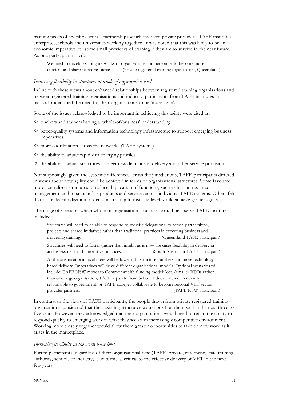training needs of specific clients—partnerships which involved private providers, TAFE institutes, enterprises, schools and universities working together. It was noted that this was likely to be an economic imperative for some small providers of training if they are to survive in the near future. As one participant noted:

We need to develop strong networks of organisations and personnel to become more efficient and share scarce resources. (Private registered training organisation, Queensland)

#### *Increasing flexibility in structures at whole-of-organisation level*

In line with these views about enhanced relationships between registered training organisations and between registered training organisations and industry, participants from TAFE institutes in particular identified the need for their organisations to be 'more agile'.

Some of the issues acknowledged to be important in achieving this agility were cited as:

- $\diamond$  teachers and trainers having a 'whole-of-business' understanding
- $\Diamond$  better-quality systems and information technology infrastructure to support emerging business imperatives
- $\diamond$  more coordination across the networks (TAFE systems)
- $\diamond$  the ability to adjust rapidly to changing profiles
- $\diamondsuit$  the ability to adjust structures to meet new demands in delivery and other service provision.

Not surprisingly, given the systemic differences across the jurisdictions, TAFE participants differed in views about how agility could be achieved in terms of organisational structures. Some favoured more centralised structures to reduce duplication of functions, such as human resource management, and to standardise products and services across individual TAFE systems. Others felt that more decentralisation of decision-making to institute level would achieve greater agility.

The range of views on which whole-of-organisation structures would best serve TAFE institutes included:

Structures will need to be able to respond to specific delegations, to action partnerships, projects and shared initiatives rather than traditional practices in executing business and delivering training. The contract of the contract of the contract of the contract of the contract of the contract of the contract of the contract of the contract of the contract of the contract of the contract of the contr

Structures will need to foster (rather than inhibit as is now the case) flexibility in delivery in and assessment and innovative practices. (South Australian TAFE participant)

At the organisational level there will be lower infrastructure numbers and more technologybased delivery. Imperatives will drive different organisational models. Optional scenarios will include: TAFE NSW moves to Commonwealth funding model; local/smaller RTOs rather than one large organisation; TAFE separate from School Education, independently responsible to government; or TAFE colleges collaborate to become regional VET sector provider partners. (TAFE NSW participant)

In contrast to the views of TAFE participants, the people drawn from private registered training organisations considered that their existing structures would position them well in the next three to five years. However, they acknowledged that their organisations would need to retain the ability to respond quickly to emerging work in what they see as an increasingly competitive environment. Working more closely together would allow them greater opportunities to take on new work as it arises in the marketplace.

#### *Increasing flexibility at the work-team level*

Forum participants, regardless of their organisational type (TAFE, private, enterprise, state training authority, schools or industry), saw teams as critical to the effective delivery of VET in the next few years.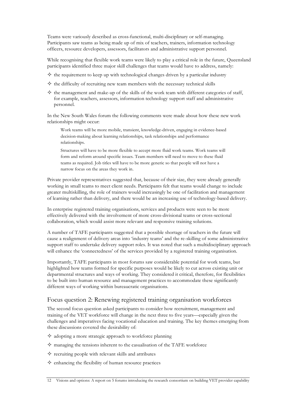Teams were variously described as cross-functional, multi-disciplinary or self-managing. Participants saw teams as being made up of mix of teachers, trainers, information technology officers, resource developers, assessors, facilitators and administrative support personnel.

While recognising that flexible work teams were likely to play a critical role in the future, Queensland participants identified three major skill challenges that teams would have to address, namely:

- $\diamond$  the requirement to keep up with technological changes driven by a particular industry
- $\diamondsuit$  the difficulty of recruiting new team members with the necessary technical skills
- $\diamond$  the management and make-up of the skills of the work team with different categories of staff, for example, teachers, assessors, information technology support staff and administrative personnel.

In the New South Wales forum the following comments were made about how these new work relationships might occur:

Work teams will be more mobile, transient, knowledge-driven, engaging in evidence-based decision-making about learning relationships, task relationships and performance relationships.

Structures will have to be more flexible to accept more fluid work teams. Work teams will form and reform around specific issues. Team members will need to move to these fluid teams as required. Job titles will have to be more generic so that people will not have a narrow focus on the areas they work in.

Private provider representatives suggested that, because of their size, they were already generally working in small teams to meet client needs. Participants felt that teams would change to include greater multiskilling, the role of trainers would increasingly be one of facilitation and management of learning rather than delivery, and there would be an increasing use of technology-based delivery.

In enterprise registered training organisations, services and products were seen to be more effectively delivered with the involvement of more cross-divisional teams or cross-sectional collaboration, which would assist more relevant and responsive training solutions.

A number of TAFE participants suggested that a possible shortage of teachers in the future will cause a realignment of delivery areas into 'industry teams' and the re-skilling of some administrative support staff to undertake delivery support roles. It was noted that such a multidisciplinary approach will enhance the 'connectedness' of the services provided by a registered training organisation.

Importantly, TAFE participants in most forums saw considerable potential for work teams, but highlighted how teams formed for specific purposes would be likely to cut across existing unit or departmental structures and ways of working. They considered it critical, therefore, for flexibilities to be built into human resource and management practices to accommodate these significantly different ways of working within bureaucratic organisations.

#### Focus question 2: Renewing registered training organisation workforces

The second focus question asked participants to consider how recruitment, management and training of the VET workforce will change in the next three to five years—especially given the challenges and imperatives facing vocational education and training. The key themes emerging from these discussions covered the desirability of:

- $\diamond$  adopting a more strategic approach to workforce planning
- $\diamond$  managing the tensions inherent to the casualisation of the TAFE workforce
- $\diamond$  recruiting people with relevant skills and attributes
- $\Diamond$  enhancing the flexibility of human resource practices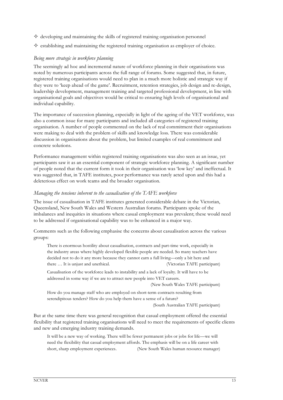- $\diamond$  developing and maintaining the skills of registered training organisation personnel
- $\diamondsuit$  establishing and maintaining the registered training organisation as employer of choice.

#### *Being more strategic in workforce planning*

The seemingly ad hoc and incremental nature of workforce planning in their organisations was noted by numerous participants across the full range of forums. Some suggested that, in future, registered training organisations would need to plan in a much more holistic and strategic way if they were to 'keep ahead of the game'. Recruitment, retention strategies, job design and re-design, leadership development, management training and targeted professional development, in line with organisational goals and objectives would be critical to ensuring high levels of organisational and individual capability.

The importance of succession planning, especially in light of the ageing of the VET workforce, was also a common issue for many participants and included all categories of registered training organisation. A number of people commented on the lack of real commitment their organisations were making to deal with the problem of skills and knowledge loss. There was considerable discussion in organisations about the problem, but limited examples of real commitment and concrete solutions.

Performance management within registered training organisations was also seen as an issue, yet participants saw it as an essential component of strategic workforce planning. A significant number of people noted that the current form it took in their organisation was 'low key' and ineffectual. It was suggested that, in TAFE institutes, poor performance was rarely acted upon and this had a deleterious effect on work teams and the broader organisation.

#### *Managing the tensions inherent to the casualisation of the TAFE workforce*

The issue of casualisation in TAFE institutes generated considerable debate in the Victorian, Queensland, New South Wales and Western Australian forums. Participants spoke of the imbalances and inequities in situations where casual employment was prevalent; these would need to be addressed if organisational capability was to be enhanced in a major way.

Comments such as the following emphasise the concerns about casualisation across the various groups:

There is enormous hostility about casualisation, contracts and part-time work, especially in the industry areas where highly developed flexible people are needed. So many teachers have decided not to do it any more because they cannot earn a full living—only a bit here and there … It is unjust and unethical. (Victorian TAFE participant)

Casualisation of the workforce leads to instability and a lack of loyalty. It will have to be addressed in some way if we are to attract new people into VET careers.

(New South Wales TAFE participant)

How do you manage staff who are employed on short-term contracts resulting from serendipitous tenders? How do you help them have a sense of a future?

(South Australian TAFE participant)

But at the same time there was general recognition that casual employment offered the essential flexibility that registered training organisations will need to meet the requirements of specific clients and new and emerging industry training demands.

It will be a new way of working. There will be fewer permanent jobs or jobs for life—we will need the flexibility that casual employment affords. The emphasis will be on a life career with short, sharp employment experiences. (New South Wales human resource manager)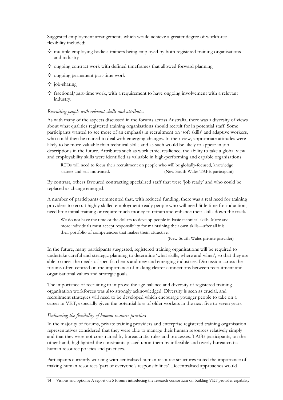Suggested employment arrangements which would achieve a greater degree of workforce flexibility included:

- $\Diamond$  multiple employing bodies: trainers being employed by both registered training organisations and industry
- $\diamond$  ongoing contract work with defined timeframes that allowed forward planning
- $\diamond$  ongoing permanent part-time work
- $\Diamond$  job-sharing
- $\diamondsuit$  fractional/part-time work, with a requirement to have ongoing involvement with a relevant industry.

#### *Recruiting people with relevant skills and attributes*

As with many of the aspects discussed in the forums across Australia, there was a diversity of views about what qualities registered training organisations should recruit for in potential staff. Some participants wanted to see more of an emphasis in recruitment on 'soft skills' and adaptive workers, who could then be trained to deal with emerging changes. In their view, appropriate attitudes were likely to be more valuable than technical skills and as such would be likely to appear in job descriptions in the future. Attributes such as work ethic, resilience, the ability to take a global view and employability skills were identified as valuable in high-performing and capable organisations.

RTOs will need to focus their recruitment on people who will be globally-focused, knowledge sharers and self-motivated. (New South Wales TAFE participant)

By contrast, others favoured contracting specialised staff that were 'job ready' and who could be replaced as change emerged.

A number of participants commented that, with reduced funding, there was a real need for training providers to recruit highly skilled employment-ready people who will need little time for induction, need little initial training or require much money to retrain and enhance their skills down the track.

We do not have the time or the dollars to develop people in basic technical skills. More and more individuals must accept responsibility for maintaining their own skills—after all it is their portfolio of competencies that makes them attractive.

(New South Wales private provider)

In the future, many participants suggested, registered training organisations will be required to undertake careful and strategic planning to determine 'what skills, where and when', so that they are able to meet the needs of specific clients and new and emerging industries. Discussion across the forums often centred on the importance of making clearer connections between recruitment and organisational values and strategic goals.

The importance of recruiting to improve the age balance and diversity of registered training organisation workforces was also strongly acknowledged. Diversity is seen as crucial, and recruitment strategies will need to be developed which encourage younger people to take on a career in VET, especially given the potential loss of older workers in the next five to seven years.

#### *Enhancing the flexibility of human resource practices*

In the majority of forums, private training providers and enterprise registered training organisation representatives considered that they were able to manage their human resources relatively simply and that they were not constrained by bureaucratic rules and processes. TAFE participants, on the other hand, highlighted the constraints placed upon them by inflexible and overly bureaucratic human resource policies and practices.

Participants currently working with centralised human resource structures noted the importance of making human resources 'part of everyone's responsibilities'. Decentralised approaches would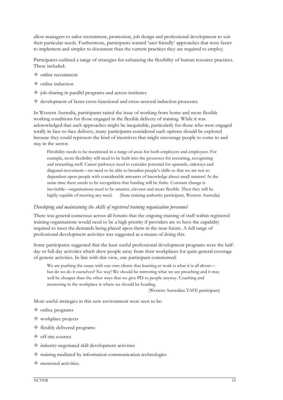allow managers to tailor recruitment, promotion, job design and professional development to suit their particular needs. Furthermore, participants wanted 'user friendly' approaches that were faster to implement and simpler to document than the current practices they are required to employ.

Participants outlined a range of strategies for enhancing the flexibility of human resource practices. These included:

- $\diamond$  online recruitment
- $\Diamond$  online induction
- $\diamond$  job-sharing in parallel programs and across institutes
- $\diamondsuit$  development of faster cross-functional and cross-sectoral induction processes.

In Western Australia, participants raised the issue of working from home and more flexible working conditions for those engaged in the flexible delivery of training. While it was acknowledged that such approaches might be inequitable, particularly for those who were engaged totally in face-to-face delivery, many participants considered such options should be explored because they could represent the kind of incentives that might encourage people to come to and stay in the sector.

Flexibility needs to be maximised in a range of areas for both employers and employees. For example, more flexibility will need to be built into the processes for recruiting, recognising and rewarding staff. Career pathways need to consider potential for upwards, sideways and diagonal movement—we need to be able to broaden people's skills so that we are not so dependent upon people with considerable amounts of knowledge about small matters! At the same time there needs to be recognition that funding will be finite. Constant change is inevitable—organisations need to be smarter, cleverer and more flexible. Then they will be highly capable of meeting any need. (State training authority participant, Western Australia)

#### *Developing and maintaining the skills of registered training organisation personnel*

There was general consensus across all forums that the ongoing training of staff within registered training organisations would need to be a high priority if providers are to have the capability required to meet the demands being placed upon them in the near future. A full range of professional development activities was suggested as a means of doing this.

Some participants suggested that the least useful professional development programs were the halfday or full-day activities which drew people away from their workplaces for quite general coverage of generic activities. In line with this view, one participant commented:

We are pushing the cause with our own clients that learning at work is what it is all about but do we do it ourselves? No way! We should be mirroring what we are preaching and it may well be cheaper than the other ways that we give PD to people anyway. Coaching and mentoring in the workplace is where we should be heading.

(Western Australian TAFE participant)

More useful strategies in this new environment were seen to be:

- $\Diamond$  online programs
- $\diamond$  workplace projects
- $\Diamond$  flexibly delivered programs
- $\Diamond$  off-site courses
- $\Diamond$  industry-negotiated skill development activities
- $\diamond$  training mediated by information communication technologies
- $\diamond$  mentored activities.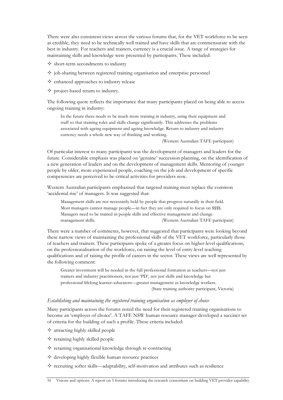There were also consistent views across the various forums that, for the VET workforce to be seen as credible, they need to be technically well trained and have skills that are commensurate with the best in industry. For teachers and trainers, currency is a crucial issue. A range of strategies for maintaining skills and knowledge were presented by participants. These included:

- $\diamond$  short-term secondments to industry
- $\Diamond$  job-sharing between registered training organisation and enterprise personnel
- $\diamond$  enhanced approaches to industry release
- $\diamond$  project-based return to industry.

The following quote reflects the importance that many participants placed on being able to access ongoing training in industry:

In the future there needs to be much more training in industry, using their equipment and staff so that training roles and skills change significantly. This addresses the problems associated with ageing equipment and ageing knowledge. Return to industry and industry currency needs a whole new way of thinking and working.

(Western Australian TAFE participant)

Of particular interest to many participants was the development of managers and leaders for the future. Considerable emphasis was placed on 'genuine' succession planning, on the identification of a new generation of leaders and on the development of management skills. Mentoring of younger people by older, more experienced people, coaching on the job and development of specific competencies are perceived to be critical activities for providers now.

Western Australian participants emphasised that targeted training must replace the common 'accidental rise' of managers. It was suggested that:

Management skills are not necessarily held by people that progress naturally in their field. Most managers cannot manage people—in fact they are only required to focus on \$\$\$\$. Managers need to be trained in people skills and effective management and change management skills. (Western Australian TAFE participant)

There were a number of comments, however, that suggested that participants were looking beyond these narrow views of maintaining the professional skills of the VET workforce, particularly those of teachers and trainers. These participants spoke of a greater focus on higher-level qualifications, on the professionalisation of the workforce, on raising the level of entry-level teaching qualifications and of raising the profile of careers in the sector. These views are well represented by the following comment:

Greater investment will be needed in the full professional formation as teachers—not just trainers and industry practitioners, not just 'PD', not just skills and knowledge but professional lifelong learner–educators—greater management as knowledge workers. (State training authority participant, Victoria)

#### *Establishing and maintaining the registered training organisation as employer of choice*

Many participants across the forums noted the need for their registered training organisations to become an 'employer of choice'. A TAFE NSW human resource manager developed a succinct set of criteria for the building of such a profile. These criteria included:

- $\Diamond$  attracting highly skilled people
- $\Diamond$  retaining highly skilled people
- $\diamond$  retaining organisational knowledge through re-contracting
- $\Diamond$  developing highly flexible human resource practices
- $\diamond$  recruiting softer skills—adaptability, self-motivation and attributes such as resilience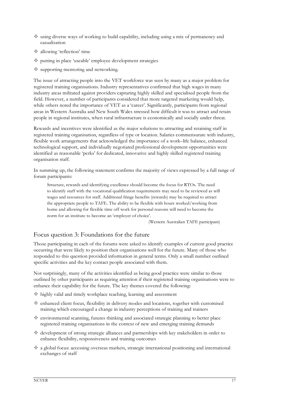- $\diamondsuit$  using diverse ways of working to build capability, including using a mix of permanency and casualisation
- $\diamond$  allowing 'reflection' time
- $\diamond$  putting in place 'useable' employee development strategies
- $\diamond$  supporting mentoring and networking.

The issue of attracting people into the VET workforce was seen by many as a major problem for registered training organisations. Industry representatives confirmed that high wages in many industry areas militated against providers capturing highly skilled and specialised people from the field. However, a number of participants considered that more targeted marketing would help, while others noted the importance of VET as a 'career'. Significantly, participants from regional areas in Western Australia and New South Wales stressed how difficult it was to attract and retain people in regional institutes, when rural infrastructure is economically and socially under threat.

Rewards and incentives were identified as the major solutions to attracting and retaining staff in registered training organisation, regardless of type or location. Salaries commensurate with industry, flexible work arrangements that acknowledged the importance of a work–life balance, enhanced technological support, and individually negotiated professional development opportunities were identified as reasonable 'perks' for dedicated, innovative and highly skilled registered training organisation staff.

In summing up, the following statement confirms the majority of views expressed by a full range of forum participants:

Structure, rewards and identifying excellence should become the focus for RTOs. The need to identify staff with the vocational qualification requirements may need to be reviewed as will wages and resources for staff. Additional fringe benefits (rewards) may be required to attract the appropriate people to TAFE. The ability to be flexible with hours worked/working from home and allowing for flexible time off work for personal reasons will need to become the norm for an institute to become an 'employer of choice'.

(Western Australian TAFE participant)

#### Focus question 3: Foundations for the future

Those participating in each of the forums were asked to identify examples of current good practice occurring that were likely to position their organisations well for the future. Many of those who responded to this question provided information in general terms. Only a small number outlined specific activities and the key contact people associated with them.

Not surprisingly, many of the activities identified as being good practice were similar to those outlined by other participants as requiring attention if their registered training organisations were to enhance their capability for the future. The key themes covered the following:

- $\Diamond$  highly valid and timely workplace teaching, learning and assessment
- $\diamondsuit$  enhanced client focus, flexibility in delivery modes and locations, together with customised training which encouraged a change in industry perceptions of training and trainers
- $\diamond$  environmental scanning, futures thinking and associated strategic planning to better place registered training organisations in the context of new and emerging training demands
- $\diamondsuit$  development of strong strategic alliances and partnerships with key stakeholders in order to enhance flexibility, responsiveness and training outcomes
- $\Diamond$  a global focus: accessing overseas markets, strategic international positioning and international exchanges of staff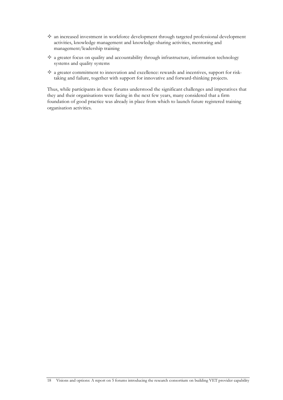- $\diamond$  an increased investment in workforce development through targeted professional development activities, knowledge management and knowledge-sharing activities, mentoring and management/leadership training
- $\diamondsuit$  a greater focus on quality and accountability through infrastructure, information technology systems and quality systems
- $\Diamond$  a greater commitment to innovation and excellence: rewards and incentives, support for risktaking and failure, together with support for innovative and forward-thinking projects.

Thus, while participants in these forums understood the significant challenges and imperatives that they and their organisations were facing in the next few years, many considered that a firm foundation of good practice was already in place from which to launch future registered training organisation activities.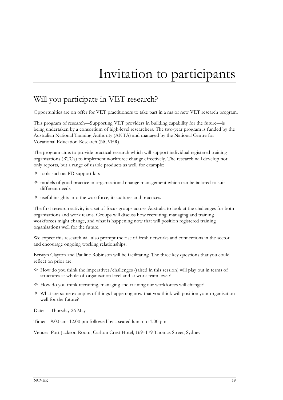# Invitation to participants

# Will you participate in VET research?

Opportunities are on offer for VET practitioners to take part in a major new VET research program.

This program of research—Supporting VET providers in building capability for the future—is being undertaken by a consortium of high-level researchers. The two-year program is funded by the Australian National Training Authority (ANTA) and managed by the National Centre for Vocational Education Research (NCVER).

The program aims to provide practical research which will support individual registered training organisations (RTOs) to implement workforce change effectively. The research will develop not only reports, but a range of usable products as well, for example:

- $\diamond$  tools such as PD support kits
- $\diamond$  models of good practice in organisational change management which can be tailored to suit different needs
- $\diamond$  useful insights into the workforce, its cultures and practices.

The first research activity is a set of focus groups across Australia to look at the challenges for both organisations and work teams. Groups will discuss how recruiting, managing and training workforces might change, and what is happening now that will position registered training organisations well for the future.

We expect this research will also prompt the rise of fresh networks and connections in the sector and encourage ongoing working relationships.

Berwyn Clayton and Pauline Robinson will be facilitating. The three key questions that you could reflect on prior are:

- $\Diamond$  How do you think the imperatives/challenges (raised in this session) will play out in terms of structures at whole-of-organisation level and at work-team level?
- $\diamond$  How do you think recruiting, managing and training our workforces will change?
- $\diamond$  What are some examples of things happening now that you think will position your organisation well for the future?

Date: Thursday 26 May

Time: 9.00 am–12.00 pm followed by a seated lunch to 1.00 pm

Venue: Port Jackson Room, Carlton Crest Hotel, 169–179 Thomas Street, Sydney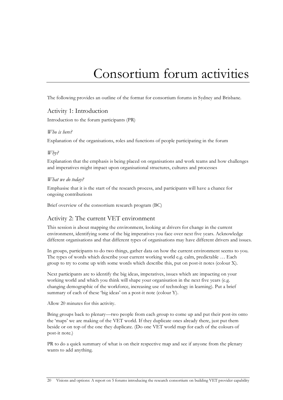# Consortium forum activities

The following provides an outline of the format for consortium forums in Sydney and Brisbane.

#### Activity 1: Introduction

Introduction to the forum participants (PR)

#### *Who is here?*

Explanation of the organisations, roles and functions of people participating in the forum

#### *Why?*

Explanation that the emphasis is being placed on organisations and work teams and how challenges and imperatives might impact upon organisational structures, cultures and processes

#### *What we do today?*

Emphasise that it is the start of the research process, and participants will have a chance for ongoing contributions

Brief overview of the consortium research program (BC)

#### Activity 2: The current VET environment

This session is about mapping the environment, looking at drivers for change in the current environment, identifying some of the big imperatives you face over next five years. Acknowledge different organisations and that different types of organisations may have different drivers and issues.

In groups, participants to do two things, gather data on how the current environment seems to you. The types of words which describe your current working world e.g. calm, predictable … Each group to try to come up with some words which describe this, put on post-it notes (colour X).

Next participants are to identify the big ideas, imperatives, issues which are impacting on your working world and which you think will shape your organisation in the next five years (e.g. changing demographic of the workforce, increasing use of technology in learning). Put a brief summary of each of these 'big ideas' on a post-it note (colour Y).

Allow 20 minutes for this activity.

Bring groups back to plenary—two people from each group to come up and put their post-its onto the 'maps' we are making of the VET world. If they duplicate ones already there, just put them beside or on top of the one they duplicate. (Do one VET world map for each of the colours of post-it note.)

PR to do a quick summary of what is on their respective map and see if anyone from the plenary wants to add anything.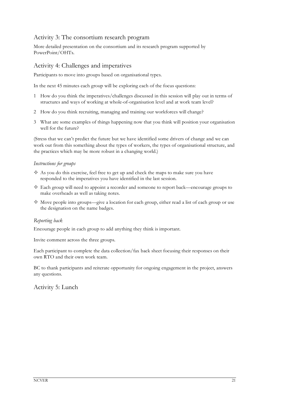#### Activity 3: The consortium research program

More detailed presentation on the consortium and its research program supported by PowerPoint/OHTs.

#### Activity 4: Challenges and imperatives

Participants to move into groups based on organisational types.

In the next 45 minutes each group will be exploring each of the focus questions:

- 1 How do you think the imperatives/challenges discussed in this session will play out in terms of structures and ways of working at whole-of-organisation level and at work team level?
- 2 How do you think recruiting, managing and training our workforces will change?
- 3 What are some examples of things happening now that you think will position your organisation well for the future?

(Stress that we can't predict the future but we have identified some drivers of change and we can work out from this something about the types of workers, the types of organisational structure, and the practices which may be more robust in a changing world.)

#### *Instructions for groups*

- $\Diamond$  As you do this exercise, feel free to get up and check the maps to make sure you have responded to the imperatives you have identified in the last session.
- $\Diamond$  Each group will need to appoint a recorder and someone to report back—encourage groups to make overheads as well as taking notes.
- $\diamond$  Move people into groups—give a location for each group, either read a list of each group or use the designation on the name badges.

#### *Reporting back*

Encourage people in each group to add anything they think is important.

Invite comment across the three groups.

Each participant to complete the data collection/fax back sheet focusing their responses on their own RTO and their own work team.

BC to thank participants and reiterate opportunity for ongoing engagement in the project, answers any questions.

Activity 5: Lunch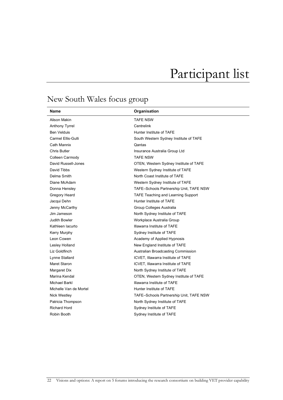# Participant list

# New South Wales focus group

| Name                   | Organisation                              |
|------------------------|-------------------------------------------|
| Alison Makin           | <b>TAFE NSW</b>                           |
| <b>Anthony Tyrrel</b>  | Centrelink                                |
| Ben Velduis            | Hunter Institute of TAFE                  |
| Carmel Ellis-Gulli     | South Western Sydney Institute of TAFE    |
| Cath Mannix            | Qantas                                    |
| <b>Chris Butler</b>    | Insurance Australia Group Ltd             |
| Colleen Carmody        | <b>TAFE NSW</b>                           |
| David Russell-Jones    | OTEN, Western Sydney Institute of TAFE    |
| David Tibbs            | Western Sydney Institute of TAFE          |
| Delma Smith            | North Coast Institute of TAFE             |
| Diane McAdam           | Western Sydney Institute of TAFE          |
| Donna Hensley          | TAFE-Schools Partnership Unit, TAFE NSW   |
| Gregory Heard          | <b>TAFE Teaching and Learning Support</b> |
| Jacqui Dehn            | Hunter Institute of TAFE                  |
| Jenny McCarthy         | Group Colleges Australia                  |
| Jim Jameson            | North Sydney Institute of TAFE            |
| <b>Judith Bowler</b>   | Workplace Australia Group                 |
| Kathleen lacurto       | Illawarra Institute of TAFE               |
| Kerry Murphy           | Sydney Institute of TAFE                  |
| Leon Cowen             | Academy of Applied Hypnosis               |
| Lesley Holland         | New England Institute of TAFE             |
| Liz Goldfinch          | Australian Broadcasting Commission        |
| Lynne Stallard         | ICVET, Illawarra Institute of TAFE        |
| Maret Staron           | ICVET, Illawarra Institute of TAFE        |
| Margaret Dix           | North Sydney Institute of TAFE            |
| Marina Kendal          | OTEN, Western Sydney Institute of TAFE    |
| Michael Barkl          | Illawarra Institute of TAFE               |
| Michelle Van de Mortel | Hunter Institute of TAFE                  |
| Nick Westley           | TAFE-Schools Partnership Unit, TAFE NSW   |
| Patricia Thompson      | North Sydney Institute of TAFE            |
| <b>Richard Hord</b>    | Sydney Institute of TAFE                  |
| Robin Booth            | Sydney Institute of TAFE                  |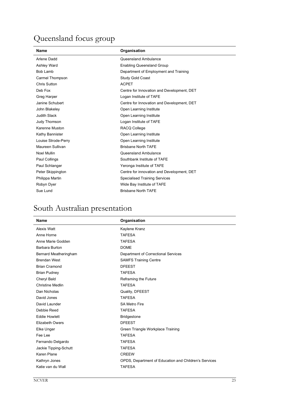# Queensland focus group

| <b>Name</b>         | Organisation                               |
|---------------------|--------------------------------------------|
| Arlene Dadd         | Queensland Ambulance                       |
| <b>Ashley Ward</b>  | <b>Enabling Queensland Group</b>           |
| Bob Lamb            | Department of Employment and Training      |
| Carmel Thompson     | Study Gold Coast                           |
| <b>Chris Sutton</b> | <b>ACPET</b>                               |
| Deb Fox             | Centre for Innovation and Development, DET |
| Greg Harper         | Logan Institute of TAFE                    |
| Janine Schubert     | Centre for Innovation and Development, DET |
| John Blakeley       | Open Learning Institute                    |
| <b>Judith Slack</b> | Open Learning Institute                    |
| Judy Thomson        | Logan Institute of TAFE                    |
| Karenne Muston      | RACQ College                               |
| Kathy Bannister     | Open Learning Institute                    |
| Louise Strode-Perry | Open Learning Institute                    |
| Maureen Sullivan    | <b>Brisbane North TAFE</b>                 |
| Noel Mullin         | Queensland Ambulance                       |
| Paul Collings       | Southbank Institute of TAFE                |
| Paul Schlanger      | Yeronga Institute of TAFE                  |
| Peter Skippington   | Centre for innovation and Development, DET |
| Philippa Martin     | <b>Specialised Training Services</b>       |
| Robyn Dyer          | Wide Bay Institute of TAFE                 |
| Sue Lund            | <b>Brisbane North TAFE</b>                 |

# South Australian presentation

| <b>Name</b>             | Organisation                                          |
|-------------------------|-------------------------------------------------------|
| Alexis Watt             | Kaylene Kranz                                         |
| Anne Horne              | <b>TAFESA</b>                                         |
| Anne Marie Godden       | <b>TAFESA</b>                                         |
| Barbara Burton          | <b>DOME</b>                                           |
| Bernard Meatheringham   | Department of Correctional Services                   |
| <b>Brendan West</b>     | <b>SAMFS Training Centre</b>                          |
| <b>Brian Cramond</b>    | <b>DFEEST</b>                                         |
| <b>Brian Pudney</b>     | <b>TAFESA</b>                                         |
| Cheryl Bald             | Reframing the Future                                  |
| <b>Christine Medlin</b> | <b>TAFESA</b>                                         |
| Dan Nicholas            | Quality, DFEEST                                       |
| David Jones             | <b>TAFESA</b>                                         |
| David Launder           | <b>SA Metro Fire</b>                                  |
| Debbie Reed             | <b>TAFESA</b>                                         |
| <b>Eddie Howlett</b>    | <b>Bridgestone</b>                                    |
| Elizabeth Owers         | <b>DFEEST</b>                                         |
| Elke Unger              | Green Triangle Workplace Training                     |
| Fee Lee                 | <b>TAFESA</b>                                         |
| Fernando Delgardo       | <b>TAFESA</b>                                         |
| Jackie Tipping-Schutt   | <b>TAFESA</b>                                         |
| Karen Plane             | <b>CREEW</b>                                          |
| Kathryn Jones           | OPDS, Department of Education and Children's Services |
| Katie van du Wall       | <b>TAFESA</b>                                         |
|                         |                                                       |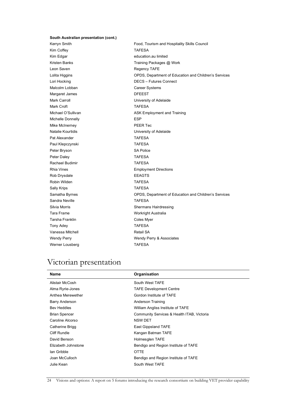#### **South Australian presentation (cont.)**

Kim Coffey **TAFESA** Kim Edgar education.au limited Leon Saven **Regency TAFE** Malcolm Lobban Career Systems Margaret James **DFEEST** Mark Carroll **Mark Carroll** University of Adelaide Mark Croft TAFESA Michelle Donnelly **ESP** Mike McInerney **PEER Tec** Natalie Kourtidis University of Adelaide Pat Alexander TAFESA Paul Klepczynski **TAFESA** Peter Bryson SA Police Peter Daley **TAFESA** Rachael Budimir **TAFESA** Rob Drysdale **EEAGTS** Robin Wilden TAFESA Sally Krips TAFESA Sandra Neville **TAFESA** Tara Frame Workright Australia Tarsha Franklin **Coles Myer** Tony Adey **TAFESA** Vanessa Mitchell **National SA** Retail SA Werner Lousberg **TAFESA** 

Kerryn Smith **Food, Tourism and Hospitality Skills Council** Kristen Banks Training Packages @ Work Lolita Higgins OPDS, Department of Education and Children's Services Lori Hocking DECS – Futures Connect Michael O'Sullivan **ASK Employment and Training** Rhia Vines Employment Directions Samatha Byrnes OPDS, Department of Education and Children's Services Silvia Morris Shermans Hairdressing Wendy Perry Wendy Perry & Associates

### Victorian presentation

| <b>Name</b>          | Organisation                               |
|----------------------|--------------------------------------------|
| Alistair McCosh      | South West TAFE                            |
| Alma Ryrie-Jones     | <b>TAFE Development Centre</b>             |
| Anthea Merewether    | Gordon Institute of TAFE                   |
| Barry Anderson       | Anderson Training                          |
| <b>Bev Heddles</b>   | William Angliss Institute of TAFE          |
| <b>Brian Spencer</b> | Community Services & Health ITAB, Victoria |
| Caroline Alcorso     | <b>NSW DET</b>                             |
| Catherine Brigg      | East Gippsland TAFE                        |
| Cliff Rundle         | Kangan Batman TAFE                         |
| David Benson         | Holmesglen TAFE                            |
| Elizabeth Johnstone  | Bendigo and Region Institute of TAFE       |
| lan Gribble          | <b>OTTE</b>                                |
| Joan McCulloch       | Bendigo and Region Institute of TAFE       |
| Julie Kean           | South West TAFE                            |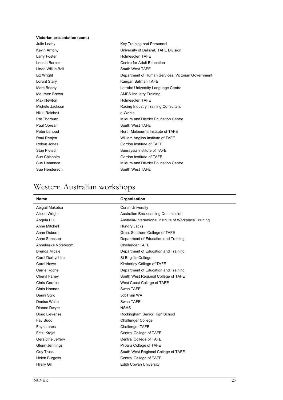#### **Victorian presentation (cont.)**

Larry Foster **Holmesglen** TAFE Linda Wilkie Bell **South West TAFE** Max Newton **Max Newton** Holmesglen TAFE Nikki Reichelt e-Works Paul Oprean South West TAFE

Julie Leahy **Key Training and Personnel** Kevin Antony University of Ballarat, TAFE Division Leonie Barber **Centre for Adult Education** Liz Wright **Department of Human Services**, Victorian Government Lorant Stary **Kangan Batman TAFE** Marc Brierty **Latrobe University Language Centre** Maureen Brown **AMES** Industry Training Michele Jackson **Racing Industry Training Consultant** Pat Thorburn **Pat Thorburn Mildura and District Education Centre** Peter Lanbud North Melbourne Institute of TAFE Raui Renjen Nilliam Angliss Institute of TAFE Robyn Jones Gordon Institute of TAFE Stan Pietsch Sunraysia Institute of TAFE Sue Chisholm Gordon Institute of TAFE Sue Hamence **Mildura** and District Education Centre Sue Henderson South West TAFE

# Western Australian workshops

| <b>Name</b>         | Organisation                                            |
|---------------------|---------------------------------------------------------|
| Abigail Makotsa     | <b>Curtin University</b>                                |
| Alison Wright       | Australian Broadcasting Commission                      |
| Angela Pui          | Australia-International Institute of Workplace Training |
| Anne Mitchell       | Hungry Jacks                                            |
| Anne Osborn         | Great Southern College of TAFE                          |
| Anne Simpson        | Department of Education and Training                    |
| Annelieske Noteboom | <b>Challenger TAFE</b>                                  |
| Brenda Micale       | Department of Education and Training                    |
| Carol Darbyshire    | St Brigid's College                                     |
| Carol Howe          | Kimberley College of TAFE                               |
| Carrie Roche        | Department of Education and Training                    |
| Cheryl Fahey        | South West Regional College of TAFE                     |
| Chris Gordon        | West Coast College of TAFE                              |
| Chris Hannan        | Swan TAFE                                               |
| Danni Sgro          | JobTrain WA                                             |
| Denise White        | Swan TAFE                                               |
| Dianne Dwyer        | <b>NSHS</b>                                             |
| Doug Lievense       | Rockingham Senior High School                           |
| Fay Budd            | <b>Challenger College</b>                               |
| Faye Jones          | <b>Challenger TAFE</b>                                  |
| Fritzi Krojel       | Central College of TAFE                                 |
| Geraldine Jeffery   | Central College of TAFE                                 |
| Glenn Jennings      | Pilbara College of TAFE                                 |
| <b>Guy Truss</b>    | South West Regional College of TAFE                     |
| Helen Burgess       | Central College of TAFE                                 |
| <b>Hilary Gill</b>  | <b>Edith Cowan University</b>                           |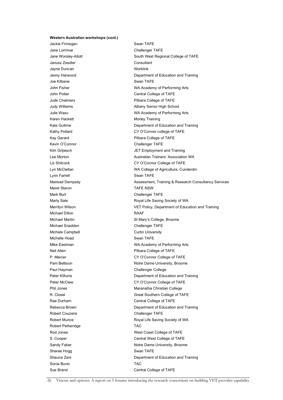#### **Western Australian workshops (cont.)**

Jackie Finnegan Swan TAFE Jane Lorrimar Challenger TAFE Janusz Zesdler Consultant Jayne Duncan Worklink Joe Kilbane **Swan TAFE** Karen Hackett Morley Training Kevin O'Connor Challenger TAFE Lynn Farrell **Swan TAFE** Maret Staron **TAFE NSW** Mark Burt Challenger TAFE Michael Dillon **RAAF** Michael Snadden Challenger TAFE Michele Campbell **Curtin University** Michelle Hoad Swan TAFE Paul Hayman Challenger College Robert Couzens **Challenger TAFE** Robert Petheridge TAC Sharee Hogg Sharee Hogg Swan TAFE Sonia Bunic **TAC** Sue Brand College of TAFE

Jane Worsley-Allott **South West Regional College of TAFE** Jenny Harwood **Department of Education and Training** John Fisher WA Academy of Performing Arts John Potter Central College of TAFE Jude Chalmers **Pilbara College of TAFE** Judy Williams **Albany Senior High School** Julie Wasu WA Academy of Performing Arts Kate Guthrie **Example 2018** Construction Department of Education and Training Kathy Pollard **CY O'Connor college of TAFE** Kay Gerard **Pilbara College of TAFE** Kim Grijiesch **International State JET Employment and Training** Lee Morton **Australian Trainers' Association WA** Liz Shilcock CY O'Connor College of TAFE Lyn McClellan WA College of Agriculture, Cunderdin Mairead Dempsey Assessment, Training & Research Consultancy Services Marty Sale **Marty Sale** Royal Life Saving Society of WA Merrilyn Wilson VET Policy, Department of Education and Training Michael Martin **State Martin State Mary's College, Broome** Mike Eastman Mike Eastman WA Academy of Performing Arts Neil Allen **Neil Allen** Pilbara College of TAFE P. Mercer CY O'Connor College of TAFE Pam Bettison Notre Dame University, Broome Peter Klifunis **Department of Education and Training** Peter McClew **CY O'Connor College of TAFE** Phil Jones **Maranatha Christian College** R. Closel Great Southern College of TAFE Rae Durham Central College of TAFE Rebecca Brown **Department of Education and Training** Robert Munce **Royal Life Saving Society of WA** Rod Jones **Next Coast College of TAFE** S. Cooper Central West College of TAFE Sandy Faber Notre Dame University, Broome Shauna Zani Department of Education and Training

26 Visions and options: A report on 5 forums introducing the research consortium on building VET provider capability